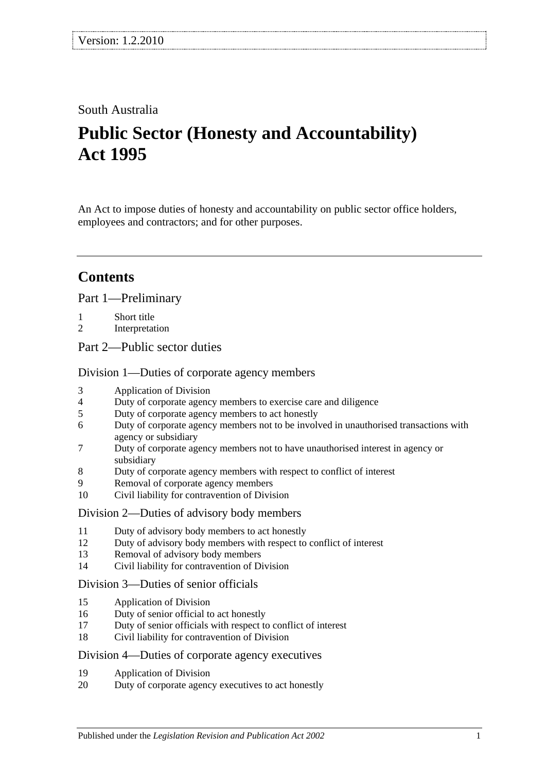## South Australia

# **Public Sector (Honesty and Accountability) Act 1995**

An Act to impose duties of honesty and accountability on public sector office holders, employees and contractors; and for other purposes.

# **Contents**

[Part 1—Preliminary](#page-1-0)

- 1 [Short title](#page-1-1)
- 2 [Interpretation](#page-1-2)

[Part 2—Public sector duties](#page-3-0)

[Division 1—Duties of corporate agency members](#page-3-1)

- 3 [Application of Division](#page-3-2)
- 4 [Duty of corporate agency members to exercise care and diligence](#page-3-3)
- 5 [Duty of corporate agency members to act honestly](#page-4-0)
- 6 [Duty of corporate agency members not to be involved in unauthorised transactions with](#page-4-1)  [agency or subsidiary](#page-4-1)
- 7 [Duty of corporate agency members not to have unauthorised interest in agency or](#page-5-0)  [subsidiary](#page-5-0)
- 8 [Duty of corporate agency members with respect to conflict of interest](#page-5-1)
- 9 [Removal of corporate agency members](#page-6-0)
- 10 [Civil liability for contravention of Division](#page-7-0)

#### [Division 2—Duties of advisory body members](#page-7-1)

- 11 [Duty of advisory body members to act honestly](#page-7-2)
- 12 [Duty of advisory body members with respect to conflict of interest](#page-7-3)
- 13 [Removal of advisory body members](#page-8-0)
- 14 [Civil liability for contravention of Division](#page-8-1)

#### [Division 3—Duties of senior officials](#page-8-2)

- 15 [Application of Division](#page-8-3)
- 16 [Duty of senior official to act honestly](#page-8-4)
- 17 [Duty of senior officials with respect to conflict of interest](#page-8-5)
- 18 [Civil liability for contravention of Division](#page-9-0)

#### [Division 4—Duties of corporate agency executives](#page-10-0)

- 19 [Application of Division](#page-10-1)
- 20 [Duty of corporate agency executives to act honestly](#page-10-2)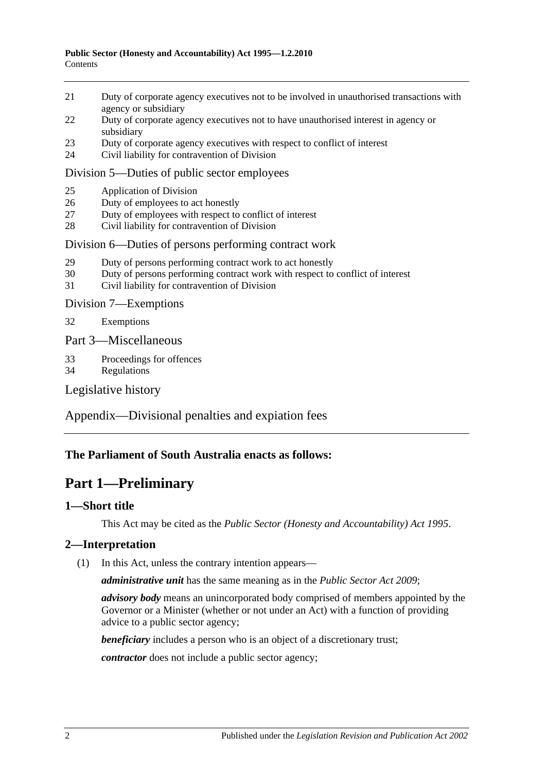- 21 [Duty of corporate agency executives not to be involved in unauthorised transactions with](#page-10-3)  [agency or subsidiary](#page-10-3)
- 22 [Duty of corporate agency executives not to have unauthorised interest in agency or](#page-11-0)  [subsidiary](#page-11-0)
- 23 [Duty of corporate agency executives with respect to conflict of interest](#page-11-1)
- 24 [Civil liability for contravention of Division](#page-12-0)

#### [Division 5—Duties of public sector employees](#page-12-1)

- 25 [Application of Division](#page-12-2)
- 26 [Duty of employees to act honestly](#page-13-0)
- 27 [Duty of employees with respect to conflict of interest](#page-13-1)
- 28 [Civil liability for contravention of Division](#page-14-0)

#### [Division 6—Duties of persons performing contract work](#page-14-1)

- 29 [Duty of persons performing contract work to act honestly](#page-14-2)
- 30 [Duty of persons performing contract work with respect to conflict of interest](#page-14-3)
- 31 [Civil liability for contravention of Division](#page-15-0)

[Division 7—Exemptions](#page-16-0)

32 [Exemptions](#page-16-1)

[Part 3—Miscellaneous](#page-16-2)

- 33 [Proceedings for offences](#page-16-3)
- 34 [Regulations](#page-16-4)

[Legislative history](#page-17-0)

[Appendix—Divisional penalties and expiation fees](#page-22-0)

#### <span id="page-1-0"></span>**The Parliament of South Australia enacts as follows:**

## **Part 1—Preliminary**

#### <span id="page-1-1"></span>**1—Short title**

This Act may be cited as the *Public Sector (Honesty and Accountability) Act 1995*.

#### <span id="page-1-2"></span>**2—Interpretation**

(1) In this Act, unless the contrary intention appears—

*administrative unit* has the same meaning as in the *[Public Sector Act](http://www.legislation.sa.gov.au/index.aspx?action=legref&type=act&legtitle=Public%20Sector%20Act%202009) 2009*;

*advisory body* means an unincorporated body comprised of members appointed by the Governor or a Minister (whether or not under an Act) with a function of providing advice to a public sector agency;

*beneficiary* includes a person who is an object of a discretionary trust;

*contractor* does not include a public sector agency;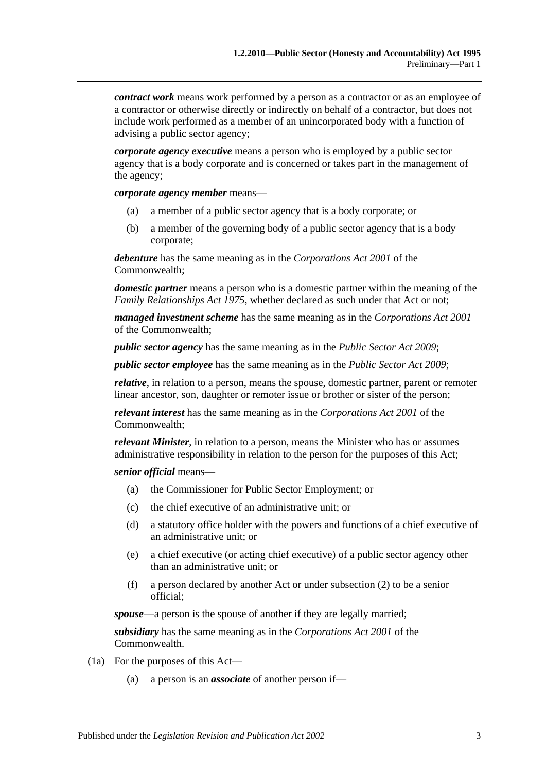*contract work* means work performed by a person as a contractor or as an employee of a contractor or otherwise directly or indirectly on behalf of a contractor, but does not include work performed as a member of an unincorporated body with a function of advising a public sector agency;

*corporate agency executive* means a person who is employed by a public sector agency that is a body corporate and is concerned or takes part in the management of the agency;

*corporate agency member* means—

- (a) a member of a public sector agency that is a body corporate; or
- (b) a member of the governing body of a public sector agency that is a body corporate;

*debenture* has the same meaning as in the *Corporations Act 2001* of the Commonwealth;

*domestic partner* means a person who is a domestic partner within the meaning of the *[Family Relationships Act](http://www.legislation.sa.gov.au/index.aspx?action=legref&type=act&legtitle=Family%20Relationships%20Act%201975) 1975*, whether declared as such under that Act or not;

*managed investment scheme* has the same meaning as in the *Corporations Act 2001* of the Commonwealth;

*public sector agency* has the same meaning as in the *[Public Sector Act](http://www.legislation.sa.gov.au/index.aspx?action=legref&type=act&legtitle=Public%20Sector%20Act%202009) 2009*;

*public sector employee* has the same meaning as in the *[Public Sector Act](http://www.legislation.sa.gov.au/index.aspx?action=legref&type=act&legtitle=Public%20Sector%20Act%202009) 2009*;

*relative*, in relation to a person, means the spouse, domestic partner, parent or remoter linear ancestor, son, daughter or remoter issue or brother or sister of the person;

*relevant interest* has the same meaning as in the *Corporations Act 2001* of the Commonwealth;

*relevant Minister*, in relation to a person, means the Minister who has or assumes administrative responsibility in relation to the person for the purposes of this Act;

*senior official* means—

- (a) the Commissioner for Public Sector Employment; or
- (c) the chief executive of an administrative unit; or
- (d) a statutory office holder with the powers and functions of a chief executive of an administrative unit; or
- (e) a chief executive (or acting chief executive) of a public sector agency other than an administrative unit; or
- (f) a person declared by another Act or under [subsection](#page-3-4) (2) to be a senior official;

*spouse*—a person is the spouse of another if they are legally married;

*subsidiary* has the same meaning as in the *Corporations Act 2001* of the Commonwealth.

- (1a) For the purposes of this Act—
	- (a) a person is an *associate* of another person if—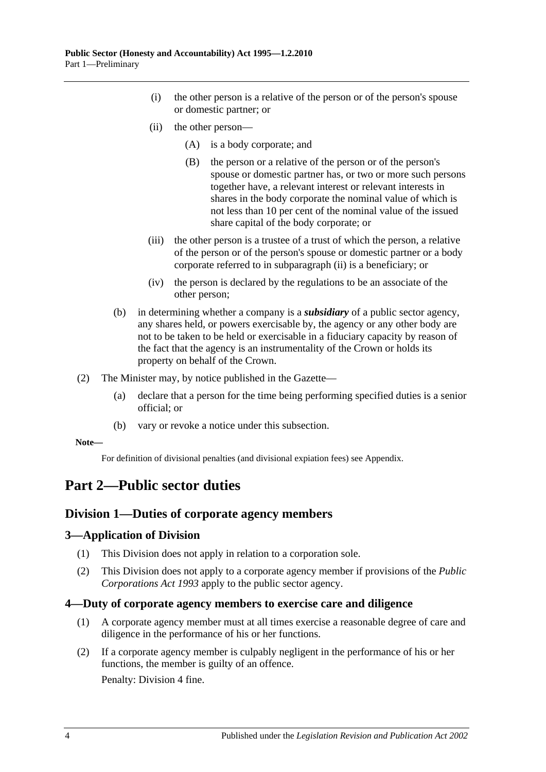- (i) the other person is a relative of the person or of the person's spouse or domestic partner; or
- <span id="page-3-5"></span>(ii) the other person—
	- (A) is a body corporate; and
	- (B) the person or a relative of the person or of the person's spouse or domestic partner has, or two or more such persons together have, a relevant interest or relevant interests in shares in the body corporate the nominal value of which is not less than 10 per cent of the nominal value of the issued share capital of the body corporate; or
- (iii) the other person is a trustee of a trust of which the person, a relative of the person or of the person's spouse or domestic partner or a body corporate referred to in [subparagraph](#page-3-5) (ii) is a beneficiary; or
- (iv) the person is declared by the regulations to be an associate of the other person;
- (b) in determining whether a company is a *subsidiary* of a public sector agency, any shares held, or powers exercisable by, the agency or any other body are not to be taken to be held or exercisable in a fiduciary capacity by reason of the fact that the agency is an instrumentality of the Crown or holds its property on behalf of the Crown.
- <span id="page-3-4"></span>(2) The Minister may, by notice published in the Gazette—
	- (a) declare that a person for the time being performing specified duties is a senior official; or
	- (b) vary or revoke a notice under this subsection.

#### **Note—**

For definition of divisional penalties (and divisional expiation fees) see Appendix.

## <span id="page-3-1"></span><span id="page-3-0"></span>**Part 2—Public sector duties**

#### **Division 1—Duties of corporate agency members**

#### <span id="page-3-2"></span>**3—Application of Division**

- (1) This Division does not apply in relation to a corporation sole.
- (2) This Division does not apply to a corporate agency member if provisions of the *[Public](http://www.legislation.sa.gov.au/index.aspx?action=legref&type=act&legtitle=Public%20Corporations%20Act%201993)  [Corporations Act](http://www.legislation.sa.gov.au/index.aspx?action=legref&type=act&legtitle=Public%20Corporations%20Act%201993) 1993* apply to the public sector agency.

#### <span id="page-3-3"></span>**4—Duty of corporate agency members to exercise care and diligence**

- (1) A corporate agency member must at all times exercise a reasonable degree of care and diligence in the performance of his or her functions.
- <span id="page-3-6"></span>(2) If a corporate agency member is culpably negligent in the performance of his or her functions, the member is guilty of an offence.

Penalty: Division 4 fine.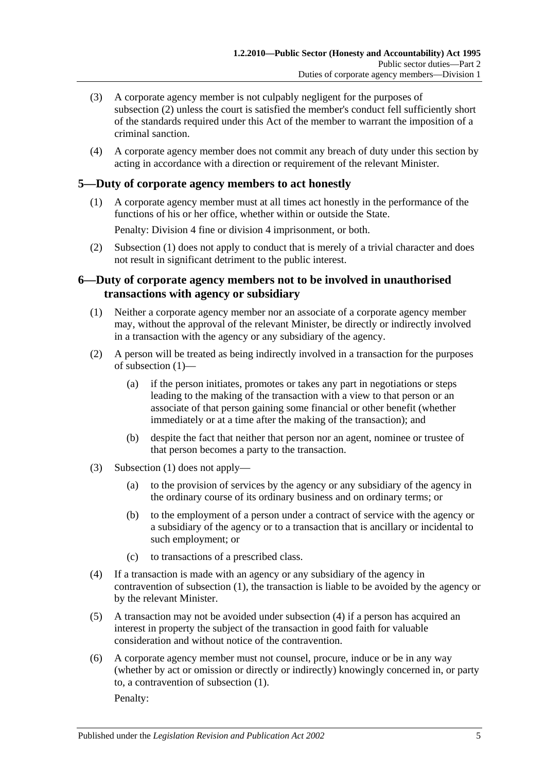- (3) A corporate agency member is not culpably negligent for the purposes of [subsection](#page-3-6) (2) unless the court is satisfied the member's conduct fell sufficiently short of the standards required under this Act of the member to warrant the imposition of a criminal sanction.
- (4) A corporate agency member does not commit any breach of duty under this section by acting in accordance with a direction or requirement of the relevant Minister.

#### <span id="page-4-2"></span><span id="page-4-0"></span>**5—Duty of corporate agency members to act honestly**

(1) A corporate agency member must at all times act honestly in the performance of the functions of his or her office, whether within or outside the State.

Penalty: Division 4 fine or division 4 imprisonment, or both.

(2) [Subsection](#page-4-2) (1) does not apply to conduct that is merely of a trivial character and does not result in significant detriment to the public interest.

#### <span id="page-4-1"></span>**6—Duty of corporate agency members not to be involved in unauthorised transactions with agency or subsidiary**

- <span id="page-4-3"></span>(1) Neither a corporate agency member nor an associate of a corporate agency member may, without the approval of the relevant Minister, be directly or indirectly involved in a transaction with the agency or any subsidiary of the agency.
- (2) A person will be treated as being indirectly involved in a transaction for the purposes of [subsection](#page-4-3) (1)—
	- (a) if the person initiates, promotes or takes any part in negotiations or steps leading to the making of the transaction with a view to that person or an associate of that person gaining some financial or other benefit (whether immediately or at a time after the making of the transaction); and
	- (b) despite the fact that neither that person nor an agent, nominee or trustee of that person becomes a party to the transaction.
- (3) [Subsection](#page-4-3) (1) does not apply—
	- (a) to the provision of services by the agency or any subsidiary of the agency in the ordinary course of its ordinary business and on ordinary terms; or
	- (b) to the employment of a person under a contract of service with the agency or a subsidiary of the agency or to a transaction that is ancillary or incidental to such employment; or
	- (c) to transactions of a prescribed class.
- <span id="page-4-4"></span>(4) If a transaction is made with an agency or any subsidiary of the agency in contravention of [subsection](#page-4-3) (1), the transaction is liable to be avoided by the agency or by the relevant Minister.
- (5) A transaction may not be avoided under [subsection](#page-4-4) (4) if a person has acquired an interest in property the subject of the transaction in good faith for valuable consideration and without notice of the contravention.
- (6) A corporate agency member must not counsel, procure, induce or be in any way (whether by act or omission or directly or indirectly) knowingly concerned in, or party to, a contravention of [subsection](#page-4-3) (1).

Penalty: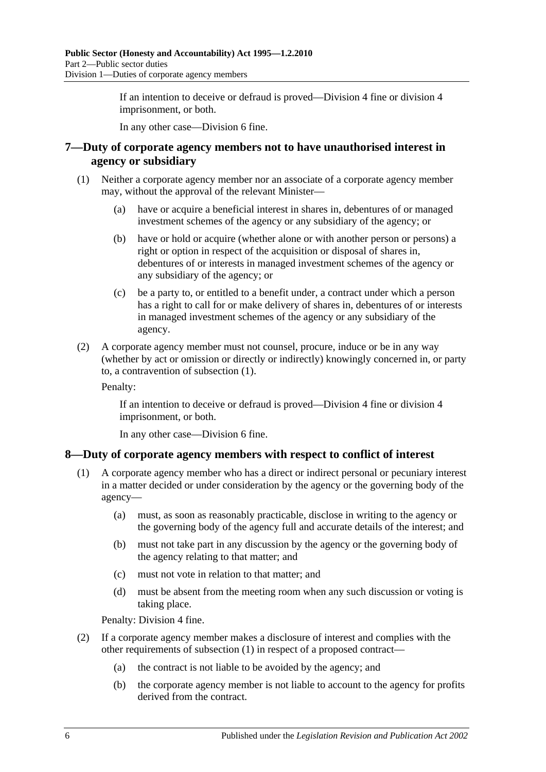If an intention to deceive or defraud is proved—Division 4 fine or division 4 imprisonment, or both.

In any other case—Division 6 fine.

#### <span id="page-5-0"></span>**7—Duty of corporate agency members not to have unauthorised interest in agency or subsidiary**

- <span id="page-5-2"></span>(1) Neither a corporate agency member nor an associate of a corporate agency member may, without the approval of the relevant Minister—
	- (a) have or acquire a beneficial interest in shares in, debentures of or managed investment schemes of the agency or any subsidiary of the agency; or
	- (b) have or hold or acquire (whether alone or with another person or persons) a right or option in respect of the acquisition or disposal of shares in, debentures of or interests in managed investment schemes of the agency or any subsidiary of the agency; or
	- (c) be a party to, or entitled to a benefit under, a contract under which a person has a right to call for or make delivery of shares in, debentures of or interests in managed investment schemes of the agency or any subsidiary of the agency.
- (2) A corporate agency member must not counsel, procure, induce or be in any way (whether by act or omission or directly or indirectly) knowingly concerned in, or party to, a contravention of [subsection](#page-5-2) (1).

Penalty:

If an intention to deceive or defraud is proved—Division 4 fine or division 4 imprisonment, or both.

In any other case—Division 6 fine.

#### <span id="page-5-3"></span><span id="page-5-1"></span>**8—Duty of corporate agency members with respect to conflict of interest**

- (1) A corporate agency member who has a direct or indirect personal or pecuniary interest in a matter decided or under consideration by the agency or the governing body of the agency—
	- (a) must, as soon as reasonably practicable, disclose in writing to the agency or the governing body of the agency full and accurate details of the interest; and
	- (b) must not take part in any discussion by the agency or the governing body of the agency relating to that matter; and
	- (c) must not vote in relation to that matter; and
	- (d) must be absent from the meeting room when any such discussion or voting is taking place.

Penalty: Division 4 fine.

- (2) If a corporate agency member makes a disclosure of interest and complies with the other requirements of [subsection](#page-5-3) (1) in respect of a proposed contract—
	- (a) the contract is not liable to be avoided by the agency; and
	- (b) the corporate agency member is not liable to account to the agency for profits derived from the contract.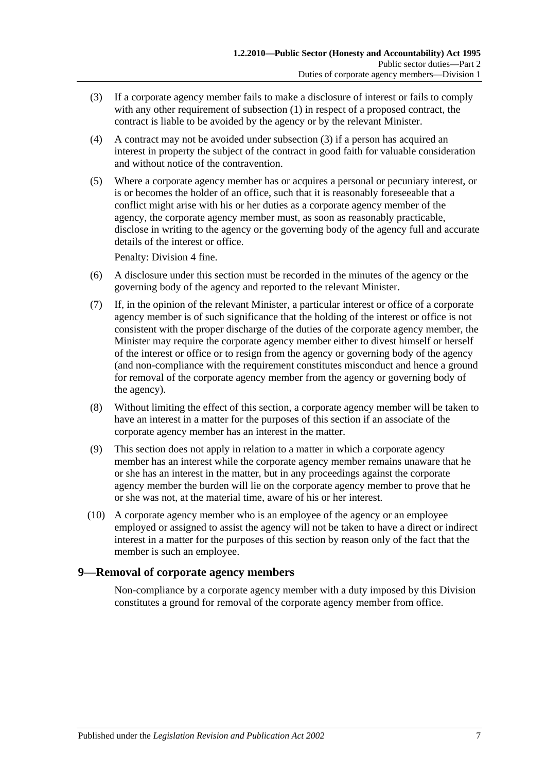- <span id="page-6-1"></span>(3) If a corporate agency member fails to make a disclosure of interest or fails to comply with any other requirement of [subsection](#page-5-3) (1) in respect of a proposed contract, the contract is liable to be avoided by the agency or by the relevant Minister.
- (4) A contract may not be avoided under [subsection](#page-6-1) (3) if a person has acquired an interest in property the subject of the contract in good faith for valuable consideration and without notice of the contravention.
- (5) Where a corporate agency member has or acquires a personal or pecuniary interest, or is or becomes the holder of an office, such that it is reasonably foreseeable that a conflict might arise with his or her duties as a corporate agency member of the agency, the corporate agency member must, as soon as reasonably practicable, disclose in writing to the agency or the governing body of the agency full and accurate details of the interest or office.

Penalty: Division 4 fine.

- (6) A disclosure under this section must be recorded in the minutes of the agency or the governing body of the agency and reported to the relevant Minister.
- (7) If, in the opinion of the relevant Minister, a particular interest or office of a corporate agency member is of such significance that the holding of the interest or office is not consistent with the proper discharge of the duties of the corporate agency member, the Minister may require the corporate agency member either to divest himself or herself of the interest or office or to resign from the agency or governing body of the agency (and non-compliance with the requirement constitutes misconduct and hence a ground for removal of the corporate agency member from the agency or governing body of the agency).
- (8) Without limiting the effect of this section, a corporate agency member will be taken to have an interest in a matter for the purposes of this section if an associate of the corporate agency member has an interest in the matter.
- (9) This section does not apply in relation to a matter in which a corporate agency member has an interest while the corporate agency member remains unaware that he or she has an interest in the matter, but in any proceedings against the corporate agency member the burden will lie on the corporate agency member to prove that he or she was not, at the material time, aware of his or her interest.
- (10) A corporate agency member who is an employee of the agency or an employee employed or assigned to assist the agency will not be taken to have a direct or indirect interest in a matter for the purposes of this section by reason only of the fact that the member is such an employee.

#### <span id="page-6-0"></span>**9—Removal of corporate agency members**

Non-compliance by a corporate agency member with a duty imposed by this Division constitutes a ground for removal of the corporate agency member from office.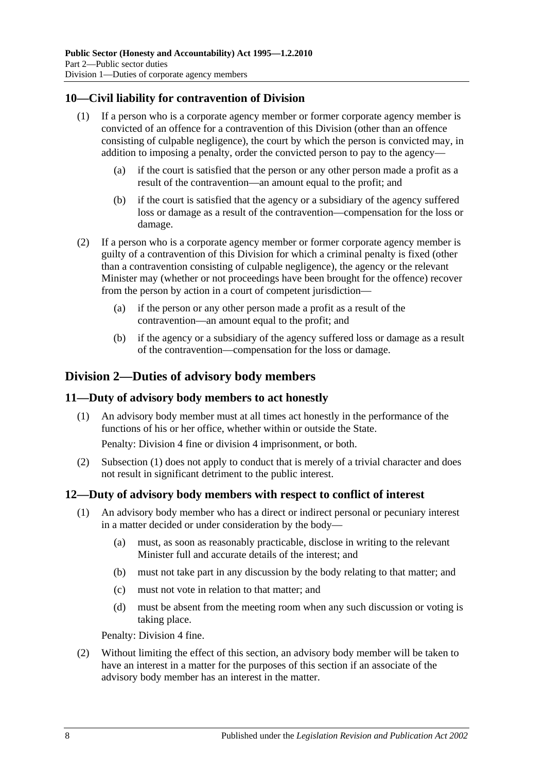#### <span id="page-7-0"></span>**10—Civil liability for contravention of Division**

- (1) If a person who is a corporate agency member or former corporate agency member is convicted of an offence for a contravention of this Division (other than an offence consisting of culpable negligence), the court by which the person is convicted may, in addition to imposing a penalty, order the convicted person to pay to the agency—
	- (a) if the court is satisfied that the person or any other person made a profit as a result of the contravention—an amount equal to the profit; and
	- (b) if the court is satisfied that the agency or a subsidiary of the agency suffered loss or damage as a result of the contravention—compensation for the loss or damage.
- (2) If a person who is a corporate agency member or former corporate agency member is guilty of a contravention of this Division for which a criminal penalty is fixed (other than a contravention consisting of culpable negligence), the agency or the relevant Minister may (whether or not proceedings have been brought for the offence) recover from the person by action in a court of competent jurisdiction—
	- (a) if the person or any other person made a profit as a result of the contravention—an amount equal to the profit; and
	- (b) if the agency or a subsidiary of the agency suffered loss or damage as a result of the contravention—compensation for the loss or damage.

## <span id="page-7-1"></span>**Division 2—Duties of advisory body members**

#### <span id="page-7-4"></span><span id="page-7-2"></span>**11—Duty of advisory body members to act honestly**

(1) An advisory body member must at all times act honestly in the performance of the functions of his or her office, whether within or outside the State.

Penalty: Division 4 fine or division 4 imprisonment, or both.

(2) [Subsection](#page-7-4) (1) does not apply to conduct that is merely of a trivial character and does not result in significant detriment to the public interest.

#### <span id="page-7-3"></span>**12—Duty of advisory body members with respect to conflict of interest**

- (1) An advisory body member who has a direct or indirect personal or pecuniary interest in a matter decided or under consideration by the body—
	- (a) must, as soon as reasonably practicable, disclose in writing to the relevant Minister full and accurate details of the interest; and
	- (b) must not take part in any discussion by the body relating to that matter; and
	- (c) must not vote in relation to that matter; and
	- (d) must be absent from the meeting room when any such discussion or voting is taking place.

Penalty: Division 4 fine.

(2) Without limiting the effect of this section, an advisory body member will be taken to have an interest in a matter for the purposes of this section if an associate of the advisory body member has an interest in the matter.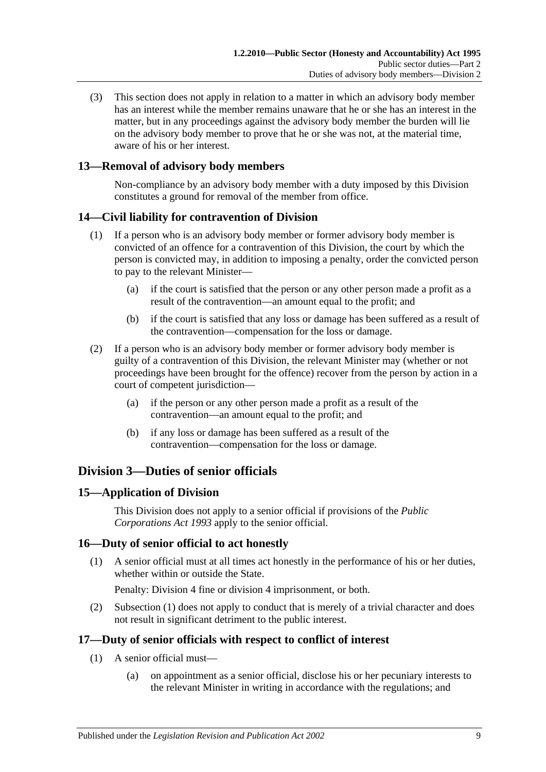(3) This section does not apply in relation to a matter in which an advisory body member has an interest while the member remains unaware that he or she has an interest in the matter, but in any proceedings against the advisory body member the burden will lie on the advisory body member to prove that he or she was not, at the material time, aware of his or her interest.

#### <span id="page-8-0"></span>**13—Removal of advisory body members**

Non-compliance by an advisory body member with a duty imposed by this Division constitutes a ground for removal of the member from office.

#### <span id="page-8-1"></span>**14—Civil liability for contravention of Division**

- (1) If a person who is an advisory body member or former advisory body member is convicted of an offence for a contravention of this Division, the court by which the person is convicted may, in addition to imposing a penalty, order the convicted person to pay to the relevant Minister—
	- (a) if the court is satisfied that the person or any other person made a profit as a result of the contravention—an amount equal to the profit; and
	- (b) if the court is satisfied that any loss or damage has been suffered as a result of the contravention—compensation for the loss or damage.
- (2) If a person who is an advisory body member or former advisory body member is guilty of a contravention of this Division, the relevant Minister may (whether or not proceedings have been brought for the offence) recover from the person by action in a court of competent jurisdiction—
	- (a) if the person or any other person made a profit as a result of the contravention—an amount equal to the profit; and
	- (b) if any loss or damage has been suffered as a result of the contravention—compensation for the loss or damage.

## <span id="page-8-2"></span>**Division 3—Duties of senior officials**

#### <span id="page-8-3"></span>**15—Application of Division**

This Division does not apply to a senior official if provisions of the *[Public](http://www.legislation.sa.gov.au/index.aspx?action=legref&type=act&legtitle=Public%20Corporations%20Act%201993)  [Corporations Act](http://www.legislation.sa.gov.au/index.aspx?action=legref&type=act&legtitle=Public%20Corporations%20Act%201993) 1993* apply to the senior official.

#### <span id="page-8-6"></span><span id="page-8-4"></span>**16—Duty of senior official to act honestly**

(1) A senior official must at all times act honestly in the performance of his or her duties, whether within or outside the State.

Penalty: Division 4 fine or division 4 imprisonment, or both.

(2) [Subsection](#page-8-6) (1) does not apply to conduct that is merely of a trivial character and does not result in significant detriment to the public interest.

#### <span id="page-8-8"></span><span id="page-8-5"></span>**17—Duty of senior officials with respect to conflict of interest**

- <span id="page-8-7"></span>(1) A senior official must—
	- (a) on appointment as a senior official, disclose his or her pecuniary interests to the relevant Minister in writing in accordance with the regulations; and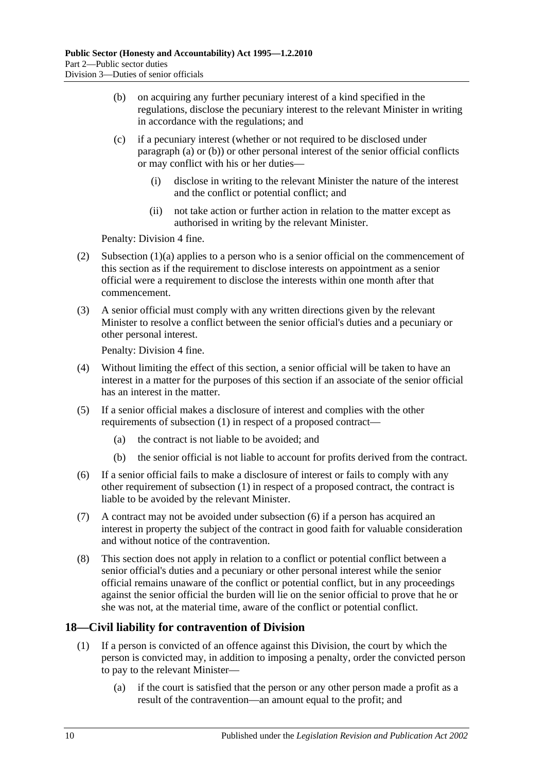- <span id="page-9-1"></span>(b) on acquiring any further pecuniary interest of a kind specified in the regulations, disclose the pecuniary interest to the relevant Minister in writing in accordance with the regulations; and
- (c) if a pecuniary interest (whether or not required to be disclosed under [paragraph](#page-8-7) (a) or [\(b\)\)](#page-9-1) or other personal interest of the senior official conflicts or may conflict with his or her duties—
	- (i) disclose in writing to the relevant Minister the nature of the interest and the conflict or potential conflict; and
	- (ii) not take action or further action in relation to the matter except as authorised in writing by the relevant Minister.

Penalty: Division 4 fine.

- (2) [Subsection](#page-8-7)  $(1)(a)$  applies to a person who is a senior official on the commencement of this section as if the requirement to disclose interests on appointment as a senior official were a requirement to disclose the interests within one month after that commencement.
- (3) A senior official must comply with any written directions given by the relevant Minister to resolve a conflict between the senior official's duties and a pecuniary or other personal interest.

Penalty: Division 4 fine.

- (4) Without limiting the effect of this section, a senior official will be taken to have an interest in a matter for the purposes of this section if an associate of the senior official has an interest in the matter.
- (5) If a senior official makes a disclosure of interest and complies with the other requirements of [subsection](#page-8-8) (1) in respect of a proposed contract—
	- (a) the contract is not liable to be avoided; and
	- (b) the senior official is not liable to account for profits derived from the contract.
- <span id="page-9-2"></span>(6) If a senior official fails to make a disclosure of interest or fails to comply with any other requirement of [subsection](#page-8-8) (1) in respect of a proposed contract, the contract is liable to be avoided by the relevant Minister.
- (7) A contract may not be avoided under [subsection](#page-9-2) (6) if a person has acquired an interest in property the subject of the contract in good faith for valuable consideration and without notice of the contravention.
- (8) This section does not apply in relation to a conflict or potential conflict between a senior official's duties and a pecuniary or other personal interest while the senior official remains unaware of the conflict or potential conflict, but in any proceedings against the senior official the burden will lie on the senior official to prove that he or she was not, at the material time, aware of the conflict or potential conflict.

## <span id="page-9-0"></span>**18—Civil liability for contravention of Division**

- (1) If a person is convicted of an offence against this Division, the court by which the person is convicted may, in addition to imposing a penalty, order the convicted person to pay to the relevant Minister—
	- (a) if the court is satisfied that the person or any other person made a profit as a result of the contravention—an amount equal to the profit; and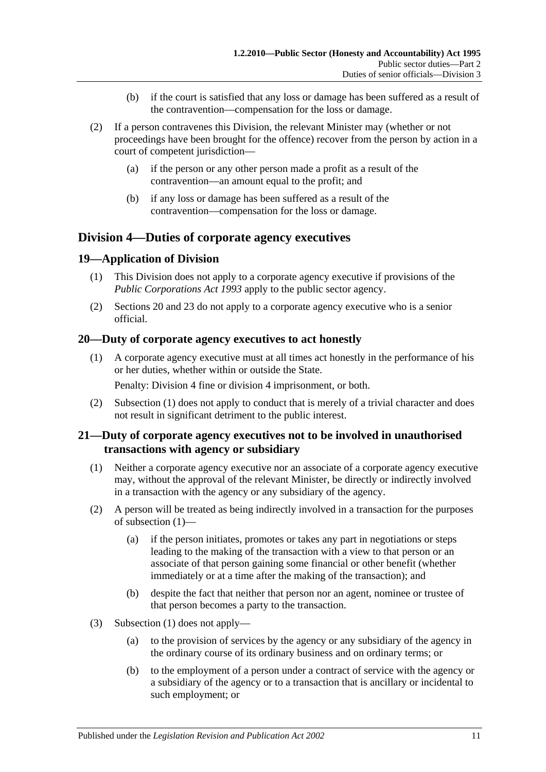- (b) if the court is satisfied that any loss or damage has been suffered as a result of the contravention—compensation for the loss or damage.
- (2) If a person contravenes this Division, the relevant Minister may (whether or not proceedings have been brought for the offence) recover from the person by action in a court of competent jurisdiction—
	- (a) if the person or any other person made a profit as a result of the contravention—an amount equal to the profit; and
	- (b) if any loss or damage has been suffered as a result of the contravention—compensation for the loss or damage.

## <span id="page-10-0"></span>**Division 4—Duties of corporate agency executives**

#### <span id="page-10-1"></span>**19—Application of Division**

- (1) This Division does not apply to a corporate agency executive if provisions of the *[Public Corporations Act](http://www.legislation.sa.gov.au/index.aspx?action=legref&type=act&legtitle=Public%20Corporations%20Act%201993) 1993* apply to the public sector agency.
- (2) [Sections](#page-10-2) 20 and [23](#page-11-1) do not apply to a corporate agency executive who is a senior official.

#### <span id="page-10-4"></span><span id="page-10-2"></span>**20—Duty of corporate agency executives to act honestly**

(1) A corporate agency executive must at all times act honestly in the performance of his or her duties, whether within or outside the State.

Penalty: Division 4 fine or division 4 imprisonment, or both.

(2) [Subsection](#page-10-4) (1) does not apply to conduct that is merely of a trivial character and does not result in significant detriment to the public interest.

#### <span id="page-10-3"></span>**21—Duty of corporate agency executives not to be involved in unauthorised transactions with agency or subsidiary**

- <span id="page-10-5"></span>(1) Neither a corporate agency executive nor an associate of a corporate agency executive may, without the approval of the relevant Minister, be directly or indirectly involved in a transaction with the agency or any subsidiary of the agency.
- (2) A person will be treated as being indirectly involved in a transaction for the purposes of [subsection](#page-10-5) (1)—
	- (a) if the person initiates, promotes or takes any part in negotiations or steps leading to the making of the transaction with a view to that person or an associate of that person gaining some financial or other benefit (whether immediately or at a time after the making of the transaction); and
	- (b) despite the fact that neither that person nor an agent, nominee or trustee of that person becomes a party to the transaction.
- (3) [Subsection](#page-10-5) (1) does not apply—
	- (a) to the provision of services by the agency or any subsidiary of the agency in the ordinary course of its ordinary business and on ordinary terms; or
	- (b) to the employment of a person under a contract of service with the agency or a subsidiary of the agency or to a transaction that is ancillary or incidental to such employment; or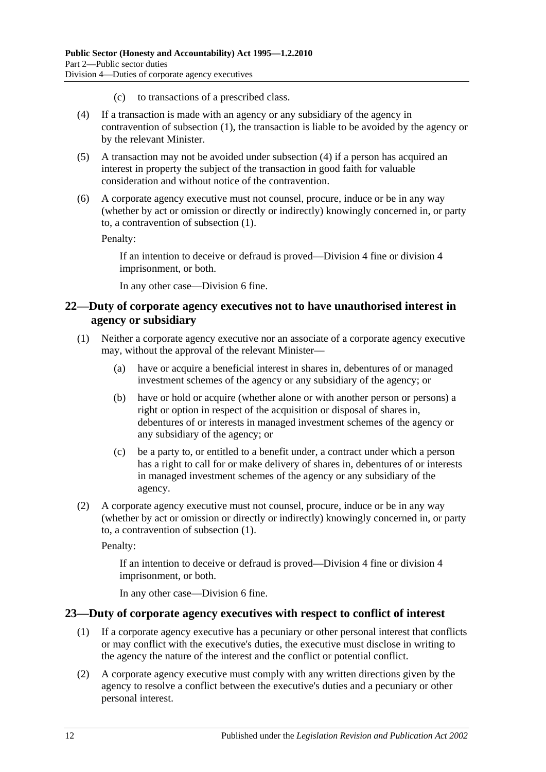- (c) to transactions of a prescribed class.
- <span id="page-11-2"></span>(4) If a transaction is made with an agency or any subsidiary of the agency in contravention of [subsection](#page-10-5) (1), the transaction is liable to be avoided by the agency or by the relevant Minister.
- (5) A transaction may not be avoided under [subsection](#page-11-2) (4) if a person has acquired an interest in property the subject of the transaction in good faith for valuable consideration and without notice of the contravention.
- (6) A corporate agency executive must not counsel, procure, induce or be in any way (whether by act or omission or directly or indirectly) knowingly concerned in, or party to, a contravention of [subsection](#page-10-5) (1).

Penalty:

If an intention to deceive or defraud is proved—Division 4 fine or division 4 imprisonment, or both.

In any other case—Division 6 fine.

#### <span id="page-11-0"></span>**22—Duty of corporate agency executives not to have unauthorised interest in agency or subsidiary**

- <span id="page-11-3"></span>(1) Neither a corporate agency executive nor an associate of a corporate agency executive may, without the approval of the relevant Minister—
	- (a) have or acquire a beneficial interest in shares in, debentures of or managed investment schemes of the agency or any subsidiary of the agency; or
	- (b) have or hold or acquire (whether alone or with another person or persons) a right or option in respect of the acquisition or disposal of shares in, debentures of or interests in managed investment schemes of the agency or any subsidiary of the agency; or
	- (c) be a party to, or entitled to a benefit under, a contract under which a person has a right to call for or make delivery of shares in, debentures of or interests in managed investment schemes of the agency or any subsidiary of the agency.
- (2) A corporate agency executive must not counsel, procure, induce or be in any way (whether by act or omission or directly or indirectly) knowingly concerned in, or party to, a contravention of [subsection](#page-11-3) (1).

Penalty:

If an intention to deceive or defraud is proved—Division 4 fine or division 4 imprisonment, or both.

In any other case—Division 6 fine.

#### <span id="page-11-4"></span><span id="page-11-1"></span>**23—Duty of corporate agency executives with respect to conflict of interest**

- (1) If a corporate agency executive has a pecuniary or other personal interest that conflicts or may conflict with the executive's duties, the executive must disclose in writing to the agency the nature of the interest and the conflict or potential conflict.
- (2) A corporate agency executive must comply with any written directions given by the agency to resolve a conflict between the executive's duties and a pecuniary or other personal interest.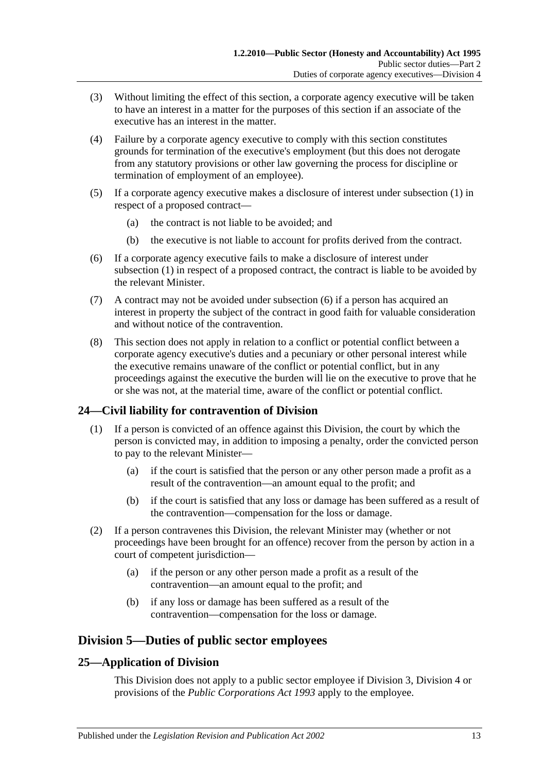- (3) Without limiting the effect of this section, a corporate agency executive will be taken to have an interest in a matter for the purposes of this section if an associate of the executive has an interest in the matter.
- (4) Failure by a corporate agency executive to comply with this section constitutes grounds for termination of the executive's employment (but this does not derogate from any statutory provisions or other law governing the process for discipline or termination of employment of an employee).
- (5) If a corporate agency executive makes a disclosure of interest under [subsection](#page-11-4) (1) in respect of a proposed contract—
	- (a) the contract is not liable to be avoided; and
	- (b) the executive is not liable to account for profits derived from the contract.
- <span id="page-12-3"></span>(6) If a corporate agency executive fails to make a disclosure of interest under [subsection](#page-11-4) (1) in respect of a proposed contract, the contract is liable to be avoided by the relevant Minister.
- (7) A contract may not be avoided under [subsection](#page-12-3) (6) if a person has acquired an interest in property the subject of the contract in good faith for valuable consideration and without notice of the contravention.
- (8) This section does not apply in relation to a conflict or potential conflict between a corporate agency executive's duties and a pecuniary or other personal interest while the executive remains unaware of the conflict or potential conflict, but in any proceedings against the executive the burden will lie on the executive to prove that he or she was not, at the material time, aware of the conflict or potential conflict.

## <span id="page-12-0"></span>**24—Civil liability for contravention of Division**

- (1) If a person is convicted of an offence against this Division, the court by which the person is convicted may, in addition to imposing a penalty, order the convicted person to pay to the relevant Minister—
	- (a) if the court is satisfied that the person or any other person made a profit as a result of the contravention—an amount equal to the profit; and
	- (b) if the court is satisfied that any loss or damage has been suffered as a result of the contravention—compensation for the loss or damage.
- (2) If a person contravenes this Division, the relevant Minister may (whether or not proceedings have been brought for an offence) recover from the person by action in a court of competent jurisdiction—
	- (a) if the person or any other person made a profit as a result of the contravention—an amount equal to the profit; and
	- (b) if any loss or damage has been suffered as a result of the contravention—compensation for the loss or damage.

## <span id="page-12-1"></span>**Division 5—Duties of public sector employees**

## <span id="page-12-2"></span>**25—Application of Division**

This Division does not apply to a public sector employee if [Division 3,](#page-8-2) [Division 4](#page-10-0) or provisions of the *[Public Corporations Act](http://www.legislation.sa.gov.au/index.aspx?action=legref&type=act&legtitle=Public%20Corporations%20Act%201993) 1993* apply to the employee.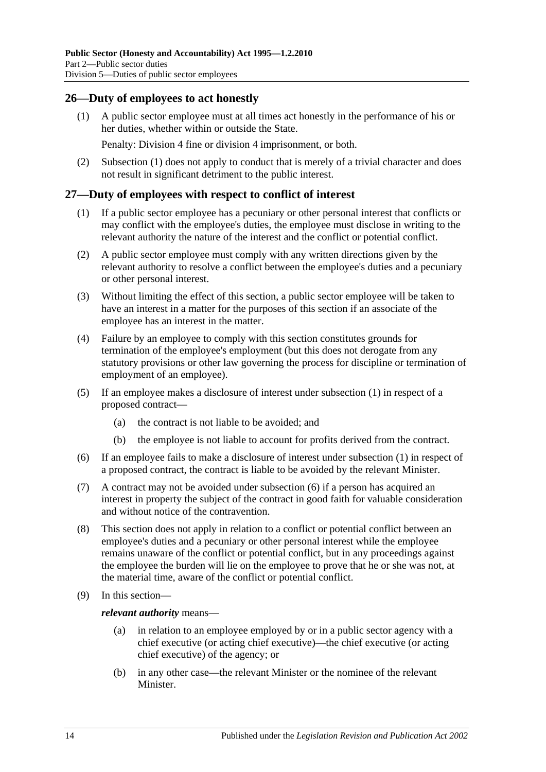#### <span id="page-13-2"></span><span id="page-13-0"></span>**26—Duty of employees to act honestly**

(1) A public sector employee must at all times act honestly in the performance of his or her duties, whether within or outside the State.

Penalty: Division 4 fine or division 4 imprisonment, or both.

(2) [Subsection](#page-13-2) (1) does not apply to conduct that is merely of a trivial character and does not result in significant detriment to the public interest.

#### <span id="page-13-3"></span><span id="page-13-1"></span>**27—Duty of employees with respect to conflict of interest**

- (1) If a public sector employee has a pecuniary or other personal interest that conflicts or may conflict with the employee's duties, the employee must disclose in writing to the relevant authority the nature of the interest and the conflict or potential conflict.
- (2) A public sector employee must comply with any written directions given by the relevant authority to resolve a conflict between the employee's duties and a pecuniary or other personal interest.
- (3) Without limiting the effect of this section, a public sector employee will be taken to have an interest in a matter for the purposes of this section if an associate of the employee has an interest in the matter.
- (4) Failure by an employee to comply with this section constitutes grounds for termination of the employee's employment (but this does not derogate from any statutory provisions or other law governing the process for discipline or termination of employment of an employee).
- (5) If an employee makes a disclosure of interest under [subsection](#page-13-3) (1) in respect of a proposed contract—
	- (a) the contract is not liable to be avoided; and
	- (b) the employee is not liable to account for profits derived from the contract.
- <span id="page-13-4"></span>(6) If an employee fails to make a disclosure of interest under [subsection](#page-13-3) (1) in respect of a proposed contract, the contract is liable to be avoided by the relevant Minister.
- (7) A contract may not be avoided under [subsection](#page-13-4) (6) if a person has acquired an interest in property the subject of the contract in good faith for valuable consideration and without notice of the contravention.
- (8) This section does not apply in relation to a conflict or potential conflict between an employee's duties and a pecuniary or other personal interest while the employee remains unaware of the conflict or potential conflict, but in any proceedings against the employee the burden will lie on the employee to prove that he or she was not, at the material time, aware of the conflict or potential conflict.
- (9) In this section—

*relevant authority* means—

- (a) in relation to an employee employed by or in a public sector agency with a chief executive (or acting chief executive)—the chief executive (or acting chief executive) of the agency; or
- (b) in any other case—the relevant Minister or the nominee of the relevant Minister.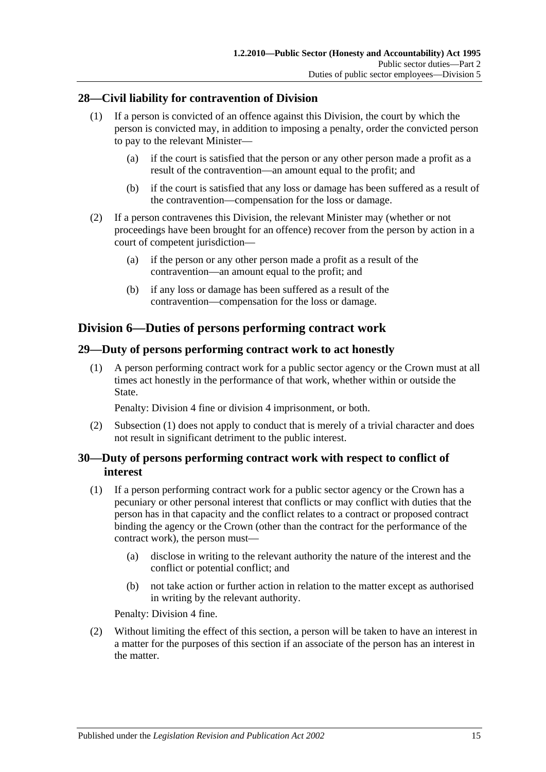#### <span id="page-14-0"></span>**28—Civil liability for contravention of Division**

- (1) If a person is convicted of an offence against this Division, the court by which the person is convicted may, in addition to imposing a penalty, order the convicted person to pay to the relevant Minister—
	- (a) if the court is satisfied that the person or any other person made a profit as a result of the contravention—an amount equal to the profit; and
	- (b) if the court is satisfied that any loss or damage has been suffered as a result of the contravention—compensation for the loss or damage.
- (2) If a person contravenes this Division, the relevant Minister may (whether or not proceedings have been brought for an offence) recover from the person by action in a court of competent jurisdiction—
	- (a) if the person or any other person made a profit as a result of the contravention—an amount equal to the profit; and
	- (b) if any loss or damage has been suffered as a result of the contravention—compensation for the loss or damage.

## <span id="page-14-1"></span>**Division 6—Duties of persons performing contract work**

#### <span id="page-14-4"></span><span id="page-14-2"></span>**29—Duty of persons performing contract work to act honestly**

(1) A person performing contract work for a public sector agency or the Crown must at all times act honestly in the performance of that work, whether within or outside the State.

Penalty: Division 4 fine or division 4 imprisonment, or both.

(2) [Subsection](#page-14-4) (1) does not apply to conduct that is merely of a trivial character and does not result in significant detriment to the public interest.

#### <span id="page-14-3"></span>**30—Duty of persons performing contract work with respect to conflict of interest**

- <span id="page-14-5"></span>(1) If a person performing contract work for a public sector agency or the Crown has a pecuniary or other personal interest that conflicts or may conflict with duties that the person has in that capacity and the conflict relates to a contract or proposed contract binding the agency or the Crown (other than the contract for the performance of the contract work), the person must—
	- (a) disclose in writing to the relevant authority the nature of the interest and the conflict or potential conflict; and
	- (b) not take action or further action in relation to the matter except as authorised in writing by the relevant authority.

Penalty: Division 4 fine.

(2) Without limiting the effect of this section, a person will be taken to have an interest in a matter for the purposes of this section if an associate of the person has an interest in the matter.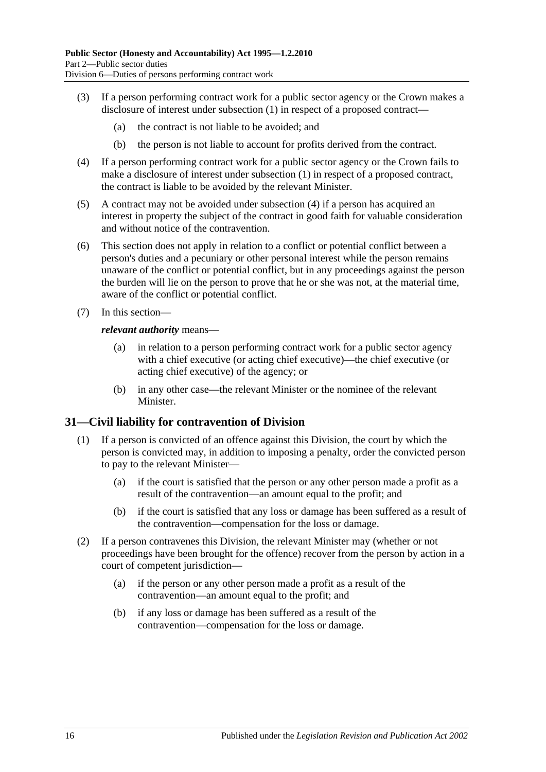- (3) If a person performing contract work for a public sector agency or the Crown makes a disclosure of interest under [subsection](#page-14-5) (1) in respect of a proposed contract—
	- (a) the contract is not liable to be avoided; and
	- (b) the person is not liable to account for profits derived from the contract.
- <span id="page-15-1"></span>(4) If a person performing contract work for a public sector agency or the Crown fails to make a disclosure of interest under [subsection](#page-14-5) (1) in respect of a proposed contract, the contract is liable to be avoided by the relevant Minister.
- (5) A contract may not be avoided under [subsection](#page-15-1) (4) if a person has acquired an interest in property the subject of the contract in good faith for valuable consideration and without notice of the contravention.
- (6) This section does not apply in relation to a conflict or potential conflict between a person's duties and a pecuniary or other personal interest while the person remains unaware of the conflict or potential conflict, but in any proceedings against the person the burden will lie on the person to prove that he or she was not, at the material time, aware of the conflict or potential conflict.
- (7) In this section—

#### *relevant authority* means—

- (a) in relation to a person performing contract work for a public sector agency with a chief executive (or acting chief executive)—the chief executive (or acting chief executive) of the agency; or
- (b) in any other case—the relevant Minister or the nominee of the relevant Minister.

#### <span id="page-15-0"></span>**31—Civil liability for contravention of Division**

- (1) If a person is convicted of an offence against this Division, the court by which the person is convicted may, in addition to imposing a penalty, order the convicted person to pay to the relevant Minister—
	- (a) if the court is satisfied that the person or any other person made a profit as a result of the contravention—an amount equal to the profit; and
	- (b) if the court is satisfied that any loss or damage has been suffered as a result of the contravention—compensation for the loss or damage.
- (2) If a person contravenes this Division, the relevant Minister may (whether or not proceedings have been brought for the offence) recover from the person by action in a court of competent jurisdiction—
	- (a) if the person or any other person made a profit as a result of the contravention—an amount equal to the profit; and
	- (b) if any loss or damage has been suffered as a result of the contravention—compensation for the loss or damage.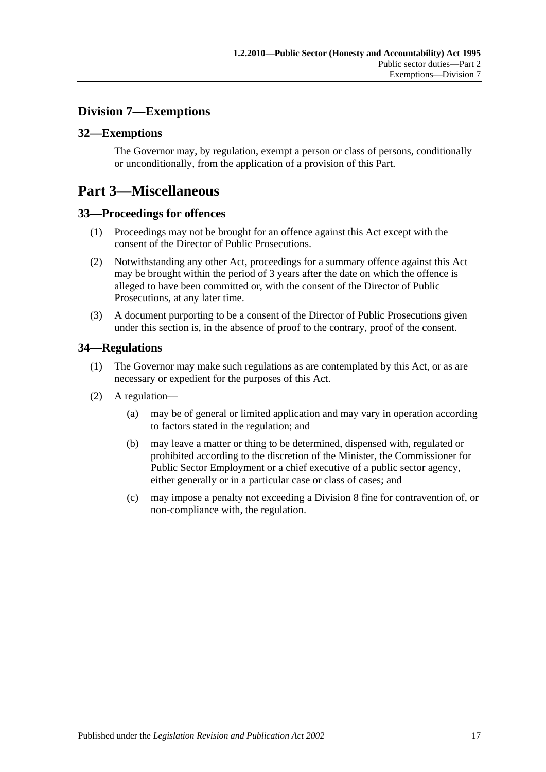## <span id="page-16-0"></span>**Division 7—Exemptions**

#### <span id="page-16-1"></span>**32—Exemptions**

The Governor may, by regulation, exempt a person or class of persons, conditionally or unconditionally, from the application of a provision of this Part.

## <span id="page-16-2"></span>**Part 3—Miscellaneous**

#### <span id="page-16-3"></span>**33—Proceedings for offences**

- (1) Proceedings may not be brought for an offence against this Act except with the consent of the Director of Public Prosecutions.
- (2) Notwithstanding any other Act, proceedings for a summary offence against this Act may be brought within the period of 3 years after the date on which the offence is alleged to have been committed or, with the consent of the Director of Public Prosecutions, at any later time.
- (3) A document purporting to be a consent of the Director of Public Prosecutions given under this section is, in the absence of proof to the contrary, proof of the consent.

#### <span id="page-16-4"></span>**34—Regulations**

- (1) The Governor may make such regulations as are contemplated by this Act, or as are necessary or expedient for the purposes of this Act.
- (2) A regulation—
	- (a) may be of general or limited application and may vary in operation according to factors stated in the regulation; and
	- (b) may leave a matter or thing to be determined, dispensed with, regulated or prohibited according to the discretion of the Minister, the Commissioner for Public Sector Employment or a chief executive of a public sector agency, either generally or in a particular case or class of cases; and
	- (c) may impose a penalty not exceeding a Division 8 fine for contravention of, or non-compliance with, the regulation.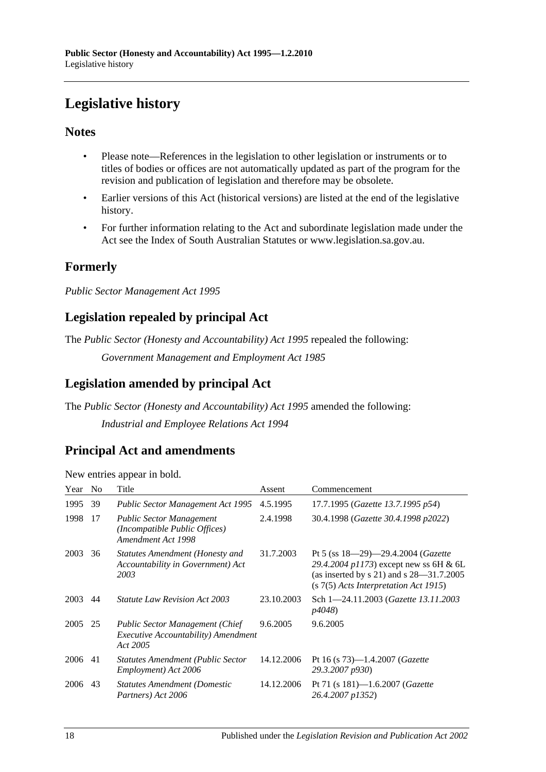# <span id="page-17-0"></span>**Legislative history**

#### **Notes**

- Please note—References in the legislation to other legislation or instruments or to titles of bodies or offices are not automatically updated as part of the program for the revision and publication of legislation and therefore may be obsolete.
- Earlier versions of this Act (historical versions) are listed at the end of the legislative history.
- For further information relating to the Act and subordinate legislation made under the Act see the Index of South Australian Statutes or www.legislation.sa.gov.au.

## **Formerly**

*Public Sector Management Act 1995*

## **Legislation repealed by principal Act**

The *Public Sector (Honesty and Accountability) Act 1995* repealed the following:

*Government Management and Employment Act 1985*

## **Legislation amended by principal Act**

The *Public Sector (Honesty and Accountability) Act 1995* amended the following: *Industrial and Employee Relations Act 1994*

## **Principal Act and amendments**

New entries appear in bold.

| Year    | N <sub>0</sub> | Title                                                                                             | Assent     | Commencement                                                                                                                                                           |
|---------|----------------|---------------------------------------------------------------------------------------------------|------------|------------------------------------------------------------------------------------------------------------------------------------------------------------------------|
| 1995    | 39             | Public Sector Management Act 1995                                                                 | 4.5.1995   | 17.7.1995 (Gazette 13.7.1995 p54)                                                                                                                                      |
| 1998    | 17             | <b>Public Sector Management</b><br>(Incompatible Public Offices)<br>Amendment Act 1998            | 2.4.1998   | 30.4.1998 (Gazette 30.4.1998 p2022)                                                                                                                                    |
| 2003    | 36             | <b>Statutes Amendment (Honesty and</b><br>Accountability in Government) Act<br>2003               | 31.7.2003  | Pt 5 (ss $18-29-29.4.2004$ (Gazette<br>29.4.2004 p1173) except new ss 6H & 6L<br>(as inserted by s 21) and s $28-31.7.2005$<br>$(s 7(5)$ Acts Interpretation Act 1915) |
| 2003    | 44             | <i>Statute Law Revision Act 2003</i>                                                              | 23.10.2003 | Sch 1-24.11.2003 ( <i>Gazette 13.11.2003</i><br><i>p4048</i> )                                                                                                         |
| 2005 25 |                | <b>Public Sector Management (Chief</b><br><i>Executive Accountability</i> ) Amendment<br>Act 2005 | 9.6.2005   | 9.6.2005                                                                                                                                                               |
| 2006    | 41             | <b>Statutes Amendment (Public Sector</b><br>Employment) Act 2006                                  | 14.12.2006 | Pt 16 (s $73$ )-1.4.2007 ( <i>Gazette</i><br>29.3.2007 p930)                                                                                                           |
| 2006    | 43             | <b>Statutes Amendment (Domestic</b><br>Partners) Act 2006                                         | 14.12.2006 | Pt 71 (s 181)-1.6.2007 ( <i>Gazette</i><br>26.4.2007 p1352)                                                                                                            |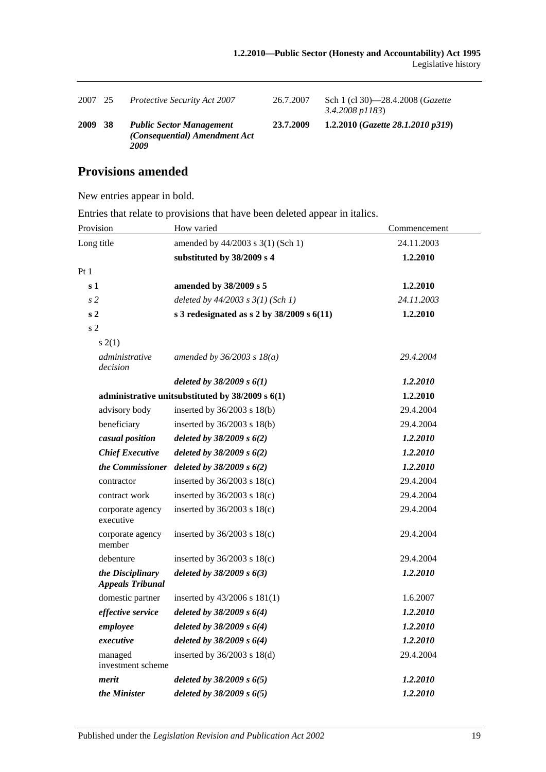| 2007        | 25  | <b>Protective Security Act 2007</b>                                      | 26.7.2007 | Sch 1 (cl 30)—28.4.2008 ( <i>Gazette</i><br>$3.4.2008$ p $1183$ |
|-------------|-----|--------------------------------------------------------------------------|-----------|-----------------------------------------------------------------|
| <b>2009</b> | -38 | <b>Public Sector Management</b><br>(Consequential) Amendment Act<br>2009 | 23.7.2009 | 1.2.2010 (Gazette 28.1.2010 p319)                               |

## **Provisions amended**

New entries appear in bold.

Entries that relate to provisions that have been deleted appear in italics.

| Provision                                   | How varied                                           | Commencement |  |
|---------------------------------------------|------------------------------------------------------|--------------|--|
| Long title                                  | amended by 44/2003 s 3(1) (Sch 1)                    | 24.11.2003   |  |
|                                             | substituted by 38/2009 s 4                           | 1.2.2010     |  |
| Pt1                                         |                                                      |              |  |
| s <sub>1</sub>                              | amended by 38/2009 s 5                               | 1.2.2010     |  |
| s <sub>2</sub>                              | deleted by $44/2003$ s $3(1)$ (Sch 1)                | 24.11.2003   |  |
| s <sub>2</sub>                              | s 3 redesignated as s 2 by $38/2009$ s $6(11)$       | 1.2.2010     |  |
| s <sub>2</sub>                              |                                                      |              |  |
| s(2(1))                                     |                                                      |              |  |
| administrative<br>decision                  | amended by $36/2003 s 18(a)$                         | 29.4.2004    |  |
|                                             | deleted by $38/2009 s 6(1)$                          | 1.2.2010     |  |
|                                             | administrative unitsubstituted by $38/2009$ s $6(1)$ | 1.2.2010     |  |
| advisory body                               | inserted by 36/2003 s 18(b)                          | 29.4.2004    |  |
| beneficiary                                 | inserted by 36/2003 s 18(b)                          | 29.4.2004    |  |
| casual position                             | deleted by $38/2009 s 6(2)$                          | 1.2.2010     |  |
| <b>Chief Executive</b>                      | deleted by $38/2009 s 6(2)$                          | 1.2.2010     |  |
| the Commissioner                            | deleted by $38/2009 s 6(2)$                          | 1.2.2010     |  |
| contractor                                  | inserted by $36/2003$ s $18(c)$                      | 29.4.2004    |  |
| contract work                               | inserted by $36/2003$ s $18(c)$                      | 29.4.2004    |  |
| corporate agency<br>executive               | inserted by $36/2003$ s $18(c)$                      | 29.4.2004    |  |
| corporate agency<br>member                  | inserted by $36/2003$ s $18(c)$                      | 29.4.2004    |  |
| debenture                                   | inserted by $36/2003$ s $18(c)$                      | 29.4.2004    |  |
| the Disciplinary<br><b>Appeals Tribunal</b> | deleted by $38/2009 s 6(3)$                          | 1.2.2010     |  |
| domestic partner                            | inserted by $43/2006$ s $181(1)$                     | 1.6.2007     |  |
| effective service                           | deleted by $38/2009 s 6(4)$                          | 1.2.2010     |  |
| employee                                    | deleted by $38/2009 s 6(4)$                          | 1.2.2010     |  |
| executive                                   | deleted by $38/2009 s 6(4)$                          | 1.2.2010     |  |
| managed<br>investment scheme                | inserted by $36/2003$ s $18(d)$                      | 29.4.2004    |  |
| merit                                       | deleted by $38/2009 s 6(5)$                          | 1.2.2010     |  |
| the Minister                                | deleted by $38/2009 s 6(5)$                          | 1.2.2010     |  |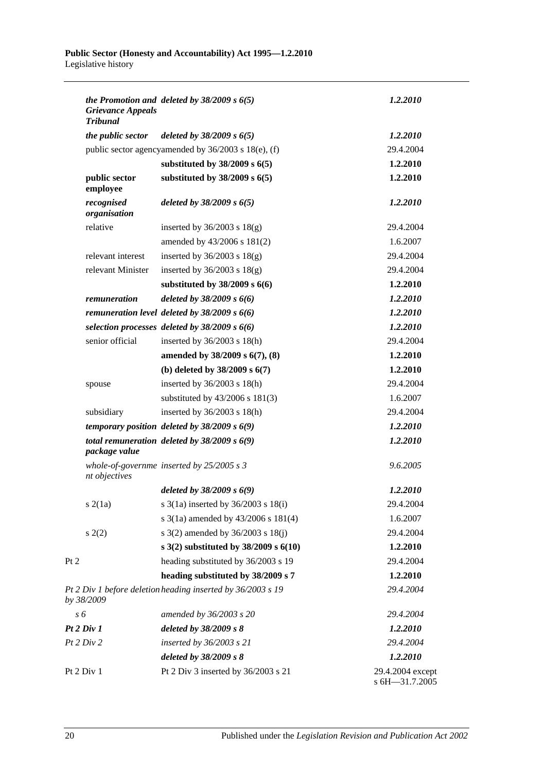| <b>Grievance Appeals</b><br><b>Tribunal</b> | the Promotion and deleted by $38/2009$ s $6(5)$             | 1.2.2010                           |
|---------------------------------------------|-------------------------------------------------------------|------------------------------------|
| the public sector                           | deleted by $38/2009 s 6(5)$                                 | 1.2.2010                           |
|                                             | public sector agencyamended by 36/2003 s 18(e), (f)         | 29.4.2004                          |
|                                             | substituted by $38/2009$ s $6(5)$                           | 1.2.2010                           |
| public sector<br>employee                   | substituted by $38/2009$ s $6(5)$                           | 1.2.2010                           |
| recognised<br>organisation                  | deleted by $38/2009 s 6(5)$                                 | 1.2.2010                           |
| relative                                    | inserted by $36/2003$ s $18(g)$                             | 29.4.2004                          |
|                                             | amended by 43/2006 s 181(2)                                 | 1.6.2007                           |
| relevant interest                           | inserted by $36/2003$ s $18(g)$                             | 29.4.2004                          |
| relevant Minister                           | inserted by $36/2003$ s $18(g)$                             | 29.4.2004                          |
|                                             | substituted by $38/2009$ s $6(6)$                           | 1.2.2010                           |
| remuneration                                | deleted by $38/2009 s 6(6)$                                 | 1.2.2010                           |
|                                             | remuneration level deleted by $38/2009$ s $6(6)$            | 1.2.2010                           |
|                                             | selection processes deleted by $38/2009$ s $6(6)$           | 1.2.2010                           |
| senior official                             | inserted by $36/2003$ s $18(h)$                             | 29.4.2004                          |
|                                             | amended by 38/2009 s 6(7), (8)                              | 1.2.2010                           |
|                                             | (b) deleted by $38/2009$ s $6(7)$                           | 1.2.2010                           |
| spouse                                      | inserted by $36/2003$ s $18(h)$                             | 29.4.2004                          |
|                                             | substituted by $43/2006$ s $181(3)$                         | 1.6.2007                           |
| subsidiary                                  | inserted by $36/2003$ s $18(h)$                             | 29.4.2004                          |
|                                             | temporary position deleted by $38/2009$ s $6(9)$            | 1.2.2010                           |
| package value                               | total remuneration deleted by $38/2009$ s $6(9)$            | 1.2.2010                           |
| nt objectives                               | whole-of-governme inserted by $25/2005 s 3$                 | 9.6.2005                           |
|                                             | deleted by $38/2009 s 6(9)$                                 | 1.2.2010                           |
| s(2(1a))                                    | s 3(1a) inserted by 36/2003 s 18(i)                         | 29.4.2004                          |
|                                             | s $3(1a)$ amended by $43/2006$ s $181(4)$                   | 1.6.2007                           |
| s(2)                                        | s $3(2)$ amended by $36/2003$ s $18(j)$                     | 29.4.2004                          |
|                                             | s $3(2)$ substituted by $38/2009$ s $6(10)$                 | 1.2.2010                           |
| Pt 2                                        | heading substituted by 36/2003 s 19                         | 29.4.2004                          |
|                                             | heading substituted by 38/2009 s 7                          | 1.2.2010                           |
| by 38/2009                                  | Pt 2 Div 1 before deletion heading inserted by 36/2003 s 19 | 29.4.2004                          |
| s 6                                         | amended by 36/2003 s 20                                     | 29.4.2004                          |
| Pt 2 Div 1                                  | deleted by 38/2009 s 8                                      | 1.2.2010                           |
| Pt 2 Div 2                                  | inserted by 36/2003 s 21                                    | 29.4.2004                          |
|                                             | deleted by 38/2009 s 8                                      | 1.2.2010                           |
| Pt 2 Div 1                                  | Pt 2 Div 3 inserted by 36/2003 s 21                         | 29.4.2004 except<br>s 6H-31.7.2005 |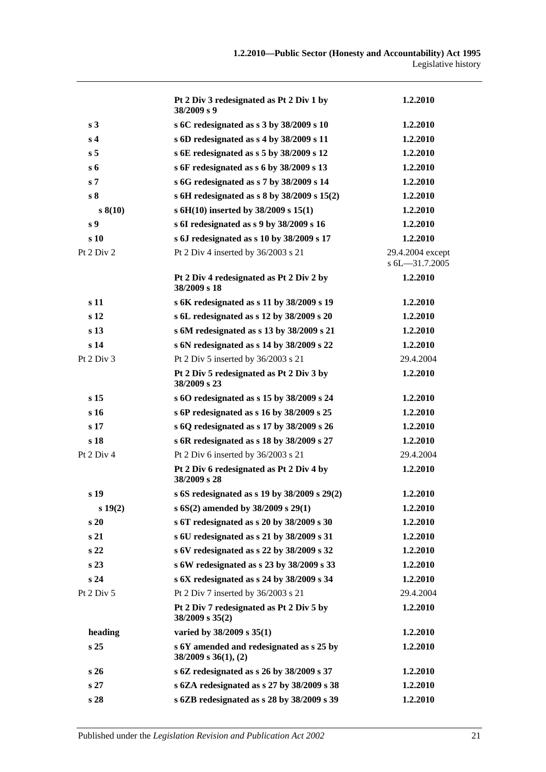|                 | Pt 2 Div 3 redesignated as Pt 2 Div 1 by<br>38/2009 s 9               | 1.2.2010                           |
|-----------------|-----------------------------------------------------------------------|------------------------------------|
| s <sub>3</sub>  | s 6C redesignated as s 3 by 38/2009 s 10                              | 1.2.2010                           |
| s <sub>4</sub>  | s 6D redesignated as s 4 by 38/2009 s 11                              | 1.2.2010                           |
| s <sub>5</sub>  | s 6E redesignated as s 5 by 38/2009 s 12                              | 1.2.2010                           |
| $s_{\rm 6}$     | s 6F redesignated as s 6 by 38/2009 s 13                              | 1.2.2010                           |
| s <sub>7</sub>  | s 6G redesignated as s 7 by 38/2009 s 14                              | 1.2.2010                           |
| s <sub>8</sub>  | s 6H redesignated as s 8 by $38/2009$ s $15(2)$                       | 1.2.2010                           |
| s(10)           | s 6H(10) inserted by $38/2009$ s 15(1)                                | 1.2.2010                           |
| s <sub>9</sub>  | s 6I redesignated as s 9 by 38/2009 s 16                              | 1.2.2010                           |
| s 10            | s 6J redesignated as s 10 by 38/2009 s 17                             | 1.2.2010                           |
| Pt 2 Div 2      | Pt 2 Div 4 inserted by 36/2003 s 21                                   | 29.4.2004 except<br>s 6L-31.7.2005 |
|                 | Pt 2 Div 4 redesignated as Pt 2 Div 2 by<br>38/2009 s 18              | 1.2.2010                           |
| s 11            | s 6K redesignated as s 11 by 38/2009 s 19                             | 1.2.2010                           |
| s <sub>12</sub> | s 6L redesignated as s 12 by 38/2009 s 20                             | 1.2.2010                           |
| s <sub>13</sub> | s 6M redesignated as s 13 by 38/2009 s 21                             | 1.2.2010                           |
| s <sub>14</sub> | s 6N redesignated as s 14 by 38/2009 s 22                             | 1.2.2010                           |
| Pt $2$ Div $3$  | Pt 2 Div 5 inserted by 36/2003 s 21                                   | 29.4.2004                          |
|                 | Pt 2 Div 5 redesignated as Pt 2 Div 3 by<br>38/2009 s 23              | 1.2.2010                           |
| s <sub>15</sub> | s 6O redesignated as s 15 by 38/2009 s 24                             | 1.2.2010                           |
| s <sub>16</sub> | s 6P redesignated as s 16 by 38/2009 s 25                             | 1.2.2010                           |
| s <sub>17</sub> | s 6Q redesignated as s 17 by 38/2009 s 26                             | 1.2.2010                           |
| s 18            | s 6R redesignated as s 18 by 38/2009 s 27                             | 1.2.2010                           |
| Pt 2 Div 4      | Pt 2 Div 6 inserted by 36/2003 s 21                                   | 29.4.2004                          |
|                 | Pt 2 Div 6 redesignated as Pt 2 Div 4 by<br>38/2009 s 28              | 1.2.2010                           |
| s 19            | s 6S redesignated as s 19 by $38/2009$ s $29(2)$                      | 1.2.2010                           |
| s 19(2)         | s 6S(2) amended by 38/2009 s 29(1)                                    | 1.2.2010                           |
| s20             | s 6T redesignated as s 20 by 38/2009 s 30                             | 1.2.2010                           |
| s 21            | s 6U redesignated as s 21 by 38/2009 s 31                             | 1.2.2010                           |
| s <sub>22</sub> | s 6V redesignated as s 22 by 38/2009 s 32                             | 1.2.2010                           |
| s 23            | s 6W redesignated as s 23 by 38/2009 s 33                             | 1.2.2010                           |
| s 24            | s 6X redesignated as s 24 by 38/2009 s 34                             | 1.2.2010                           |
| Pt $2$ Div $5$  | Pt 2 Div 7 inserted by 36/2003 s 21                                   | 29.4.2004                          |
|                 | Pt 2 Div 7 redesignated as Pt 2 Div 5 by<br>38/2009 s 35(2)           | 1.2.2010                           |
| heading         | varied by $38/2009$ s $35(1)$                                         | 1.2.2010                           |
| s <sub>25</sub> | s 6Y amended and redesignated as s 25 by<br>$38/2009$ s $36(1)$ , (2) | 1.2.2010                           |
| s26             | s 6Z redesignated as s 26 by 38/2009 s 37                             | 1.2.2010                           |
| s <sub>27</sub> | s 6ZA redesignated as s 27 by 38/2009 s 38                            | 1.2.2010                           |
| s 28            | s 6ZB redesignated as s 28 by 38/2009 s 39                            | 1.2.2010                           |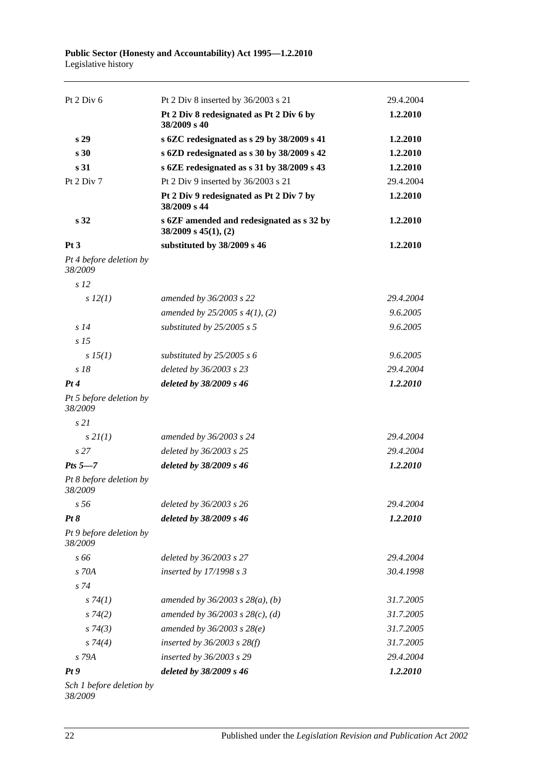| Pt $2$ Div $6$                     | Pt 2 Div 8 inserted by 36/2003 s 21                                    | 29.4.2004 |
|------------------------------------|------------------------------------------------------------------------|-----------|
|                                    | Pt 2 Div 8 redesignated as Pt 2 Div 6 by<br>38/2009 s 40               | 1.2.2010  |
| s <sub>29</sub>                    | s 6ZC redesignated as s 29 by 38/2009 s 41                             | 1.2.2010  |
| s <sub>30</sub>                    | s 6ZD redesignated as s 30 by 38/2009 s 42                             | 1.2.2010  |
| s <sub>31</sub>                    | s 6ZE redesignated as s 31 by 38/2009 s 43                             | 1.2.2010  |
| Pt $2$ Div $7$                     | Pt 2 Div 9 inserted by 36/2003 s 21                                    | 29.4.2004 |
|                                    | Pt 2 Div 9 redesignated as Pt 2 Div 7 by<br>38/2009 s 44               | 1.2.2010  |
| s <sub>32</sub>                    | s 6ZF amended and redesignated as s 32 by<br>$38/2009$ s $45(1)$ , (2) | 1.2.2010  |
| Pt3                                | substituted by 38/2009 s 46                                            | 1.2.2010  |
| Pt 4 before deletion by<br>38/2009 |                                                                        |           |
| s <sub>12</sub>                    |                                                                        |           |
| $s\,12(1)$                         | amended by 36/2003 s 22                                                | 29.4.2004 |
|                                    | amended by $25/2005$ s $4(1)$ , (2)                                    | 9.6.2005  |
| s <sub>14</sub>                    | substituted by $25/2005$ s 5                                           | 9.6.2005  |
| s <sub>15</sub>                    |                                                                        |           |
| $s\,15(1)$                         | substituted by $25/2005 s 6$                                           | 9.6.2005  |
| $s$ 18                             | deleted by 36/2003 s 23                                                | 29.4.2004 |
| Pt4                                | deleted by 38/2009 s 46                                                | 1.2.2010  |
| Pt 5 before deletion by<br>38/2009 |                                                                        |           |
| s21                                |                                                                        |           |
| $s$ 2 $I(1)$                       | amended by 36/2003 s 24                                                | 29.4.2004 |
| s <sub>27</sub>                    | deleted by 36/2003 s 25                                                | 29.4.2004 |
| Pts $5-7$                          | deleted by 38/2009 s 46                                                | 1.2.2010  |
| Pt 8 before deletion by<br>38/2009 |                                                                        |           |
| s <sub>56</sub>                    | deleted by 36/2003 s 26                                                | 29.4.2004 |
| Pt 8                               | deleted by 38/2009 s 46                                                | 1.2.2010  |
| Pt 9 before deletion by<br>38/2009 |                                                                        |           |
| s 66                               | deleted by 36/2003 s 27                                                | 29.4.2004 |
| s 70A                              | inserted by 17/1998 s 3                                                | 30.4.1998 |
| $s\,74$                            |                                                                        |           |
| s74(1)                             | amended by $36/2003$ s $28(a)$ , (b)                                   | 31.7.2005 |
| $s\,74(2)$                         | amended by $36/2003$ s $28(c)$ , (d)                                   | 31.7.2005 |
| s74(3)                             | amended by $36/2003$ s $28(e)$                                         | 31.7.2005 |
| $s \, 74(4)$                       | inserted by $36/2003$ s $28(f)$                                        | 31.7.2005 |
| s 79A                              | inserted by 36/2003 s 29                                               | 29.4.2004 |
| Pt9                                | deleted by 38/2009 s 46                                                | 1.2.2010  |
| Sch 1 before deletion by           |                                                                        |           |

*38/2009*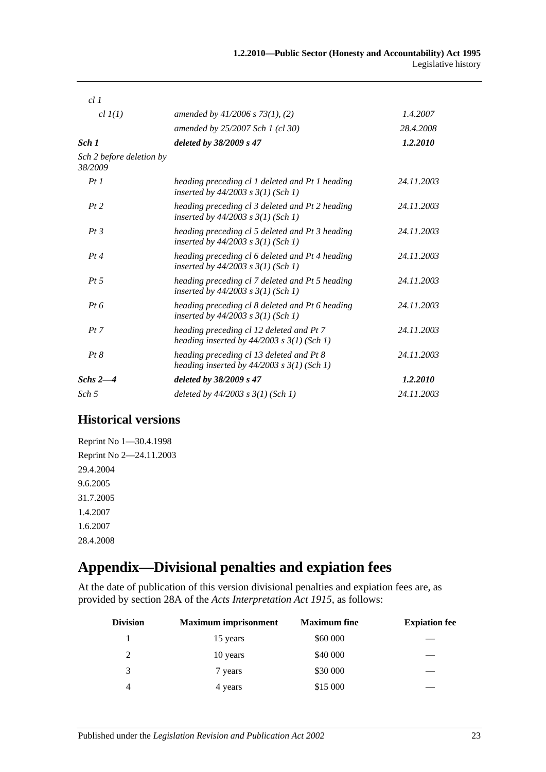| cl1                                 |                                                                                            |            |
|-------------------------------------|--------------------------------------------------------------------------------------------|------------|
| $cl$ $I(1)$                         | amended by $41/2006$ s $73(1)$ , (2)                                                       | 1.4.2007   |
|                                     | amended by 25/2007 Sch 1 (cl 30)                                                           | 28.4.2008  |
| Sch 1                               | deleted by 38/2009 s 47                                                                    | 1.2.2010   |
| Sch 2 before deletion by<br>38/2009 |                                                                                            |            |
| Pt1                                 | heading preceding cl 1 deleted and Pt 1 heading<br>inserted by $44/2003$ s $3(1)$ (Sch 1)  | 24.11.2003 |
| Pt2                                 | heading preceding cl 3 deleted and Pt 2 heading<br>inserted by $44/2003$ s $3(1)$ (Sch 1)  | 24.11.2003 |
| Pt3                                 | heading preceding cl 5 deleted and Pt 3 heading<br>inserted by $44/2003$ s $3(1)$ (Sch 1)  | 24.11.2003 |
| Pt4                                 | heading preceding cl 6 deleted and Pt 4 heading<br>inserted by $44/2003$ s $3(1)$ (Sch 1)  | 24.11.2003 |
| $Pt\,5$                             | heading preceding cl 7 deleted and Pt 5 heading<br>inserted by $44/2003$ s $3(1)$ (Sch 1)  | 24.11.2003 |
| $Pt\,6$                             | heading preceding cl 8 deleted and Pt 6 heading<br>inserted by $44/2003$ s $3(1)$ (Sch 1)  | 24.11.2003 |
| Pt 7                                | heading preceding cl 12 deleted and Pt 7<br>heading inserted by $44/2003$ s $3(1)$ (Sch 1) | 24.11.2003 |
| Pt 8                                | heading preceding cl 13 deleted and Pt 8<br>heading inserted by $44/2003$ s $3(1)$ (Sch 1) | 24.11.2003 |
| Schs $2-4$                          | deleted by 38/2009 s 47                                                                    | 1.2.2010   |
| Sch 5                               | deleted by $44/2003$ s $3(1)$ (Sch 1)                                                      | 24.11.2003 |

## **Historical versions**

Reprint No 1—30.4.1998 Reprint No 2—24.11.2003 29.4.2004 9.6.2005 31.7.2005 1.4.2007 1.6.2007 28.4.2008

# <span id="page-22-0"></span>**Appendix—Divisional penalties and expiation fees**

At the date of publication of this version divisional penalties and expiation fees are, as provided by section 28A of the *[Acts Interpretation Act 1915](http://www.legislation.sa.gov.au/index.aspx?action=legref&type=act&legtitle=Acts%20Interpretation%20Act%201915)*, as follows:

| <b>Division</b> | <b>Maximum imprisonment</b> | <b>Maximum</b> fine | <b>Expiation fee</b> |
|-----------------|-----------------------------|---------------------|----------------------|
|                 | 15 years                    | \$60 000            |                      |
| 2               | 10 years                    | \$40 000            |                      |
| 3               | 7 years                     | \$30 000            |                      |
| 4               | 4 years                     | \$15 000            |                      |